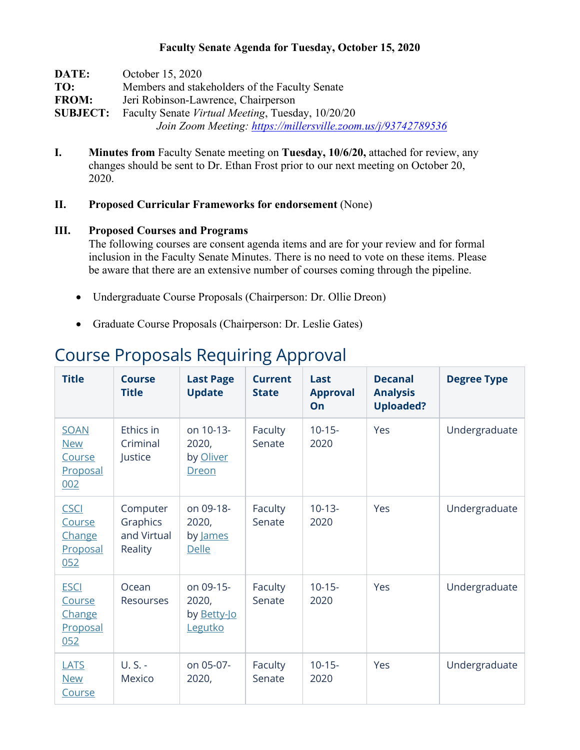### **Faculty Senate Agenda for Tuesday, October 15, 2020**

| DATE:        | October 15, 2020                                                  |  |  |  |  |  |
|--------------|-------------------------------------------------------------------|--|--|--|--|--|
| TO:          | Members and stakeholders of the Faculty Senate                    |  |  |  |  |  |
| <b>FROM:</b> | Jeri Robinson-Lawrence, Chairperson                               |  |  |  |  |  |
|              | <b>SUBJECT:</b> Faculty Senate Virtual Meeting, Tuesday, 10/20/20 |  |  |  |  |  |
|              | Join Zoom Meeting: https://millersville.zoom.us/j/93742789536     |  |  |  |  |  |

**I. Minutes from** Faculty Senate meeting on **Tuesday, 10/6/20,** attached for review, any changes should be sent to Dr. Ethan Frost prior to our next meeting on October 20, 2020.

### **II. Proposed Curricular Frameworks for endorsement** (None)

#### **III. Proposed Courses and Programs**

The following courses are consent agenda items and are for your review and for formal inclusion in the Faculty Senate Minutes. There is no need to vote on these items. Please be aware that there are an extensive number of courses coming through the pipeline.

- Undergraduate Course Proposals (Chairperson: Dr. Ollie Dreon)
- Graduate Course Proposals (Chairperson: Dr. Leslie Gates)

# Course Proposals Requiring Approval

| <b>Title</b>                                           | <b>Course</b><br><b>Title</b>                  | <b>Last Page</b><br><b>Update</b>                   | <b>Current</b><br><b>State</b> | Last<br><b>Approval</b><br>On | <b>Decanal</b><br><b>Analysis</b><br><b>Uploaded?</b> | <b>Degree Type</b> |
|--------------------------------------------------------|------------------------------------------------|-----------------------------------------------------|--------------------------------|-------------------------------|-------------------------------------------------------|--------------------|
| <b>SOAN</b><br><b>New</b><br>Course<br>Proposal<br>002 | Ethics in<br>Criminal<br>Justice               | on 10-13-<br>2020,<br>by Oliver<br><b>Dreon</b>     | Faculty<br>Senate              | $10-15-$<br>2020              | Yes                                                   | Undergraduate      |
| <b>CSCI</b><br>Course<br>Change<br>Proposal<br>052     | Computer<br>Graphics<br>and Virtual<br>Reality | on 09-18-<br>2020,<br>by James<br><b>Delle</b>      | Faculty<br>Senate              | $10-13-$<br>2020              | Yes                                                   | Undergraduate      |
| <b>ESCI</b><br>Course<br>Change<br>Proposal<br>052     | Ocean<br><b>Resourses</b>                      | on 09-15-<br>2020,<br>by <u>Betty-Jo</u><br>Legutko | Faculty<br>Senate              | $10-15-$<br>2020              | Yes                                                   | Undergraduate      |
| <b>LATS</b><br><b>New</b><br>Course                    | U.S. -<br>Mexico                               | on 05-07-<br>2020,                                  | Faculty<br>Senate              | $10 - 15 -$<br>2020           | Yes                                                   | Undergraduate      |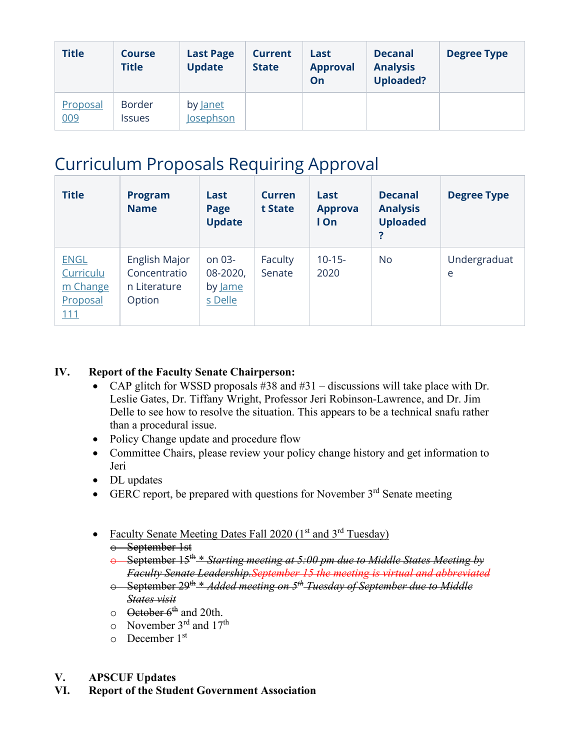| <b>Title</b>    | <b>Course</b><br><b>Title</b>  | <b>Last Page</b><br><b>Update</b>   | <b>Current</b><br><b>State</b> | Last<br><b>Approval</b><br>On | <b>Decanal</b><br><b>Analysis</b><br><b>Uploaded?</b> | <b>Degree Type</b> |
|-----------------|--------------------------------|-------------------------------------|--------------------------------|-------------------------------|-------------------------------------------------------|--------------------|
| Proposal<br>009 | <b>Border</b><br><b>Issues</b> | by <u>Janet</u><br><b>Josephson</b> |                                |                               |                                                       |                    |

# Curriculum Proposals Requiring Approval

| <b>Title</b>                                            | <b>Program</b><br><b>Name</b>                           | Last<br>Page<br><b>Update</b>            | <b>Curren</b><br>t State | Last<br><b>Approva</b><br>I On | <b>Decanal</b><br><b>Analysis</b><br><b>Uploaded</b><br>? | <b>Degree Type</b> |
|---------------------------------------------------------|---------------------------------------------------------|------------------------------------------|--------------------------|--------------------------------|-----------------------------------------------------------|--------------------|
| <b>ENGL</b><br>Curriculu<br>m Change<br>Proposal<br>111 | English Major<br>Concentratio<br>n Literature<br>Option | on 03-<br>08-2020,<br>by Jame<br>s Delle | Faculty<br>Senate        | $10-15-$<br>2020               | No.                                                       | Undergraduat<br>e  |

### **IV. Report of the Faculty Senate Chairperson:**

- CAP glitch for WSSD proposals  $#38$  and  $#31$  discussions will take place with Dr. Leslie Gates, Dr. Tiffany Wright, Professor Jeri Robinson-Lawrence, and Dr. Jim Delle to see how to resolve the situation. This appears to be a technical snafu rather than a procedural issue.
- Policy Change update and procedure flow
- Committee Chairs, please review your policy change history and get information to Jeri
- DL updates
- GERC report, be prepared with questions for November  $3<sup>rd</sup>$  Senate meeting
- Faculty Senate Meeting Dates Fall 2020 ( $1<sup>st</sup>$  and  $3<sup>rd</sup>$  Tuesday) o September 1st
	- o September 15th \* *Starting meeting at 5:00 pm due to Middle States Meeting by Faculty Senate Leadership.September 15 the meeting is virtual and abbreviated*
	- o September 29th \* *Added meeting on 5th Tuesday of September due to Middle States visit*
	- $\circ$  October 6<sup>th</sup> and 20th.
	- $\circ$  November 3<sup>rd</sup> and 17<sup>th</sup>
	- $\circ$  December 1<sup>st</sup>
- **V. APSCUF Updates**
- **VI. Report of the Student Government Association**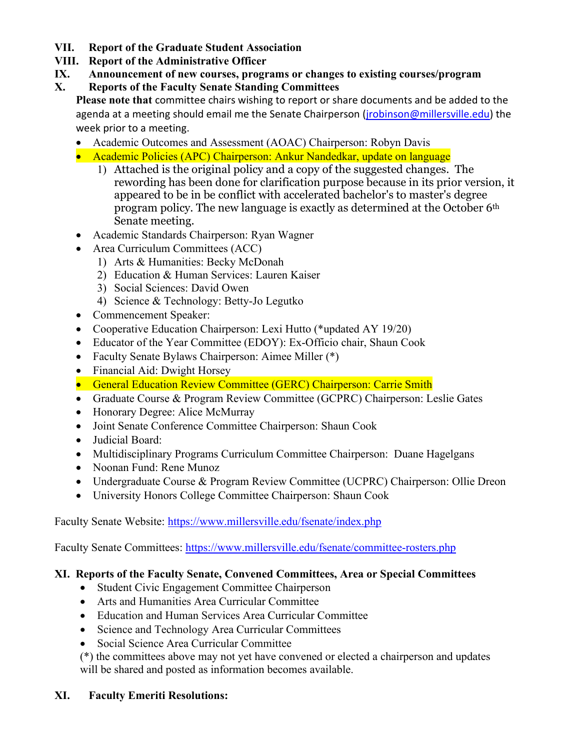- **VII. Report of the Graduate Student Association**
- **VIII. Report of the Administrative Officer**
- **IX. Announcement of new courses, programs or changes to existing courses/program**
- **X. Reports of the Faculty Senate Standing Committees**

**Please note that** committee chairs wishing to report or share documents and be added to the agenda at a meeting should email me the Senate Chairperson (*jrobinson@millersville.edu*) the week prior to a meeting.

- Academic Outcomes and Assessment (AOAC) Chairperson: Robyn Davis
- Academic Policies (APC) Chairperson: Ankur Nandedkar, update on language
	- 1) Attached is the original policy and a copy of the suggested changes. The rewording has been done for clarification purpose because in its prior version, it appeared to be in be conflict with accelerated bachelor's to master's degree program policy. The new language is exactly as determined at the October 6th Senate meeting.
- Academic Standards Chairperson: Ryan Wagner
- Area Curriculum Committees (ACC)
	- 1) Arts & Humanities: Becky McDonah
	- 2) Education & Human Services: Lauren Kaiser
	- 3) Social Sciences: David Owen
	- 4) Science & Technology: Betty-Jo Legutko
- Commencement Speaker:
- Cooperative Education Chairperson: Lexi Hutto (\*updated AY 19/20)
- Educator of the Year Committee (EDOY): Ex-Officio chair, Shaun Cook
- Faculty Senate Bylaws Chairperson: Aimee Miller (\*)
- Financial Aid: Dwight Horsey
- General Education Review Committee (GERC) Chairperson: Carrie Smith
- Graduate Course & Program Review Committee (GCPRC) Chairperson: Leslie Gates
- Honorary Degree: Alice McMurray
- Joint Senate Conference Committee Chairperson: Shaun Cook
- Judicial Board:
- Multidisciplinary Programs Curriculum Committee Chairperson: Duane Hagelgans
- Noonan Fund: Rene Munoz
- Undergraduate Course & Program Review Committee (UCPRC) Chairperson: Ollie Dreon
- University Honors College Committee Chairperson: Shaun Cook

Faculty Senate Website:<https://www.millersville.edu/fsenate/index.php>

Faculty Senate Committees:<https://www.millersville.edu/fsenate/committee-rosters.php>

# **XI. Reports of the Faculty Senate, Convened Committees, Area or Special Committees**

- Student Civic Engagement Committee Chairperson
- Arts and Humanities Area Curricular Committee
- Education and Human Services Area Curricular Committee
- Science and Technology Area Curricular Committees
- Social Science Area Curricular Committee
- (\*) the committees above may not yet have convened or elected a chairperson and updates will be shared and posted as information becomes available.

# **XI. Faculty Emeriti Resolutions:**